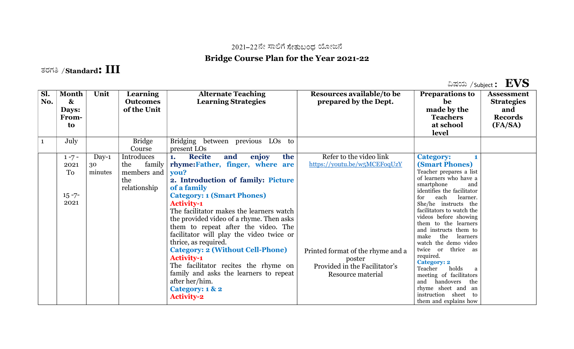## 2021–22ನೇ ಸಾಲಿಗೆ ಸೇತುಬಂಧ ಯೋಜನೆ

## Bridge Course Plan for the Year 2021-22

## ತರಗತಿ / $\boldsymbol{\mathrm{Standard:III}}$

ವಿಷಯ /subject :  $\mathbf{EVS}$ 

| Sl.<br>No. | <b>Month</b><br>$\boldsymbol{\alpha}$<br>Days:<br>From-<br>to | Unit                     | <b>Learning</b><br><b>Outcomes</b><br>of the Unit                 | <b>Alternate Teaching</b><br><b>Learning Strategies</b>                                                                                                                                                                                                                                                                                                                                                                                                                                                                                                                                                             | Resources available/to be<br>prepared by the Dept.                                                                                                           | <b>Preparations to</b><br>be<br>made by the<br><b>Teachers</b><br>at school<br>level                                                                                                                                                                                                                                                                                                                                                                                                                                                                                                  | <b>Assessment</b><br><b>Strategies</b><br>and<br><b>Records</b><br>(FA/SA) |
|------------|---------------------------------------------------------------|--------------------------|-------------------------------------------------------------------|---------------------------------------------------------------------------------------------------------------------------------------------------------------------------------------------------------------------------------------------------------------------------------------------------------------------------------------------------------------------------------------------------------------------------------------------------------------------------------------------------------------------------------------------------------------------------------------------------------------------|--------------------------------------------------------------------------------------------------------------------------------------------------------------|---------------------------------------------------------------------------------------------------------------------------------------------------------------------------------------------------------------------------------------------------------------------------------------------------------------------------------------------------------------------------------------------------------------------------------------------------------------------------------------------------------------------------------------------------------------------------------------|----------------------------------------------------------------------------|
|            | July                                                          |                          | <b>Bridge</b><br>Course                                           | Bridging between previous LOs<br>to<br>present LOs                                                                                                                                                                                                                                                                                                                                                                                                                                                                                                                                                                  |                                                                                                                                                              |                                                                                                                                                                                                                                                                                                                                                                                                                                                                                                                                                                                       |                                                                            |
|            | $1 - 7 -$<br>2021<br>To<br>$15 - 7 -$<br>2021                 | $Day-1$<br>30<br>minutes | Introduces<br>the<br>family<br>members and<br>the<br>relationship | <b>Recite</b><br>enjoy<br>the<br>and<br>1.<br>rhyme:Father, finger, where are<br>you?<br>2. Introduction of family: Picture<br>of a family<br><b>Category: 1 (Smart Phones)</b><br><b>Activity-1</b><br>The facilitator makes the learners watch<br>the provided video of a rhyme. Then asks<br>them to repeat after the video. The<br>facilitator will play the video twice or<br>thrice, as required.<br><b>Category: 2 (Without Cell-Phone)</b><br><b>Activity-1</b><br>The facilitator recites the rhyme on<br>family and asks the learners to repeat<br>after her/him.<br>Category: 1 & 2<br><b>Activity-2</b> | Refer to the video link<br>https://youtu.be/w5MCEFoqUzY<br>Printed format of the rhyme and a<br>poster<br>Provided in the Facilitator's<br>Resource material | <b>Category:</b><br><b>(Smart Phones)</b><br>Teacher prepares a list<br>of learners who have a<br>smartphone<br>and<br>identifies the facilitator<br>learner.<br>each<br>for<br>She/he instructs the<br>facilitators to watch the<br>videos before showing<br>them to the learners<br>and instructs them to<br>make<br>the<br>learners<br>watch the demo video<br>twice<br>or thrice as<br>required.<br><b>Category: 2</b><br>holds<br>Teacher<br>a<br>meeting of facilitators<br>and<br>handovers<br>the<br>rhyme sheet and an<br>instruction sheet<br>- to<br>them and explains how |                                                                            |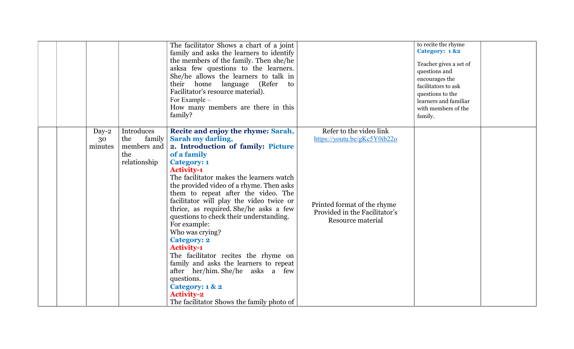|                                                                                     | The facilitator Shows a chart of a joint<br>family and asks the learners to identify<br>the members of the family. Then she/he<br>asksa few questions to the learners.<br>She/he allows the learners to talk in<br>their home language (Refer<br>to<br>Facilitator's resource material).<br>For Example -<br>How many members are there in this<br>family?                                                                                                                                                                                                                                                                                                                                                                               |                                                                                                                                              | to recite the rhyme<br>Category: 1 &2<br>Teacher gives a set of<br>questions and<br>encourages the<br>facilitators to ask<br>questions to the<br>learners and familiar<br>with members of the<br>family. |
|-------------------------------------------------------------------------------------|------------------------------------------------------------------------------------------------------------------------------------------------------------------------------------------------------------------------------------------------------------------------------------------------------------------------------------------------------------------------------------------------------------------------------------------------------------------------------------------------------------------------------------------------------------------------------------------------------------------------------------------------------------------------------------------------------------------------------------------|----------------------------------------------------------------------------------------------------------------------------------------------|----------------------------------------------------------------------------------------------------------------------------------------------------------------------------------------------------------|
| Introduces<br>$Day-2$<br>the<br>30<br>members and<br>minutes<br>the<br>relationship | Recite and enjoy the rhyme: Sarah,<br>Sarah my darling,<br>family<br>2. Introduction of family: Picture<br>of a family<br><b>Category: 1</b><br><b>Activity-1</b><br>The facilitator makes the learners watch<br>the provided video of a rhyme. Then asks<br>them to repeat after the video. The<br>facilitator will play the video twice or<br>thrice, as required. She/he asks a few<br>questions to check their understanding.<br>For example:<br>Who was crying?<br><b>Category: 2</b><br><b>Activity-1</b><br>The facilitator recites the rhyme on<br>family and asks the learners to repeat<br>after her/him. She/he asks a few<br>questions.<br>Category: 1 & 2<br><b>Activity-2</b><br>The facilitator Shows the family photo of | Refer to the video link<br>https://youtu.be/gKc5Y0ib22o<br>Printed format of the rhyme<br>Provided in the Facilitator's<br>Resource material |                                                                                                                                                                                                          |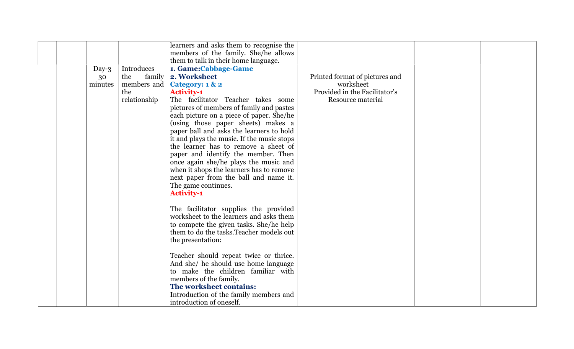|                           |                                                                   | learners and asks them to recognise the<br>members of the family. She/he allows                                                                                                                                                                                                                                                                                                                                                                                                                                                                                                                                        |                                                                                                   |  |
|---------------------------|-------------------------------------------------------------------|------------------------------------------------------------------------------------------------------------------------------------------------------------------------------------------------------------------------------------------------------------------------------------------------------------------------------------------------------------------------------------------------------------------------------------------------------------------------------------------------------------------------------------------------------------------------------------------------------------------------|---------------------------------------------------------------------------------------------------|--|
| Day- $3$<br>30<br>minutes | Introduces<br>family<br>the<br>members and<br>the<br>relationship | them to talk in their home language.<br>1. Game:Cabbage-Game<br>2. Worksheet<br>Category: 1 & 2<br><b>Activity-1</b><br>The facilitator Teacher takes some<br>pictures of members of family and pastes<br>each picture on a piece of paper. She/he<br>(using those paper sheets) makes a<br>paper ball and asks the learners to hold<br>it and plays the music. If the music stops<br>the learner has to remove a sheet of<br>paper and identify the member. Then<br>once again she/he plays the music and<br>when it shops the learners has to remove<br>next paper from the ball and name it.<br>The game continues. | Printed format of pictures and<br>worksheet<br>Provided in the Facilitator's<br>Resource material |  |
|                           |                                                                   | <b>Activity-1</b><br>The facilitator supplies the provided<br>worksheet to the learners and asks them<br>to compete the given tasks. She/he help<br>them to do the tasks. Teacher models out<br>the presentation:<br>Teacher should repeat twice or thrice.<br>And she/ he should use home language<br>to make the children familiar with<br>members of the family.<br>The worksheet contains:<br>Introduction of the family members and<br>introduction of oneself.                                                                                                                                                   |                                                                                                   |  |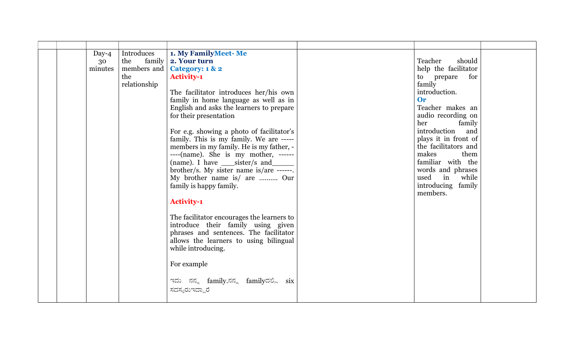| Introduces                                                                                                                                                                                                                                                                                                                                                                                                                                                                                                                                                                                                                                                                                                                                                                                                                                                                                                                                                                                                                                                                                                                                                                                                                                                                                             |  |
|--------------------------------------------------------------------------------------------------------------------------------------------------------------------------------------------------------------------------------------------------------------------------------------------------------------------------------------------------------------------------------------------------------------------------------------------------------------------------------------------------------------------------------------------------------------------------------------------------------------------------------------------------------------------------------------------------------------------------------------------------------------------------------------------------------------------------------------------------------------------------------------------------------------------------------------------------------------------------------------------------------------------------------------------------------------------------------------------------------------------------------------------------------------------------------------------------------------------------------------------------------------------------------------------------------|--|
| 1. My FamilyMeet-Me<br>Day- $4$<br>family<br>Teacher<br>should<br>the<br>2. Your turn<br>30<br>members and<br>Category: 1 & 2<br>help the facilitator<br>minutes<br>the<br><b>Activity-1</b><br>to prepare for<br>relationship<br>family<br>introduction.<br>The facilitator introduces her/his own<br>family in home language as well as in<br><b>Or</b><br>Teacher makes an<br>English and asks the learners to prepare<br>for their presentation<br>audio recording on<br>her<br>family<br>introduction<br>and<br>For e.g. showing a photo of facilitator's<br>plays it in front of<br>family. This is my family. We are -----<br>the facilitators and<br>members in my family. He is my father, -<br>makes<br>them<br>----(name). She is my mother, ------<br>familiar with the<br>(name). I have _____sister/s and_<br>words and phrases<br>brother/s. My sister name is/are ------.<br>used in<br>My brother name is/ are  Our<br>while<br>introducing family<br>family is happy family.<br>members.<br><b>Activity-1</b><br>The facilitator encourages the learners to<br>introduce their family using given<br>phrases and sentences. The facilitator<br>allows the learners to using bilingual<br>while introducing.<br>For example<br>ಇದು ನನ್ನ family.ನನ್ನ familyದಲ್ಲಿ six<br>ಸದಸ್ಯರುಇದ್ದಾರೆ |  |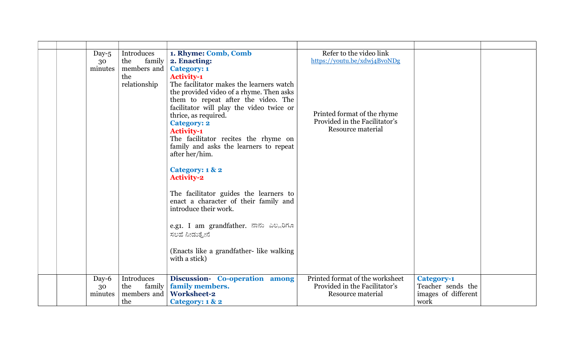| Day- $5$<br>30<br>minutes | Introduces<br>family<br>the<br>members and<br>the<br>relationship | 1. Rhyme: Comb, Comb<br>2. Enacting:<br><b>Category: 1</b><br><b>Activity-1</b><br>The facilitator makes the learners watch<br>the provided video of a rhyme. Then asks<br>them to repeat after the video. The<br>facilitator will play the video twice or<br>thrice, as required.<br><b>Category: 2</b><br><b>Activity-1</b><br>The facilitator recites the rhyme on<br>family and asks the learners to repeat<br>after her/him.<br>Category: 1 & 2<br><b>Activity-2</b><br>The facilitator guides the learners to<br>enact a character of their family and<br>introduce their work.<br>e.g1. I am grandfather. ನಾನು ಎಲ್ಲರಿಗೂ<br>ಸಲಹೆ ನೀಡುತ್ತೇನೆ<br>(Enacts like a grandfather- like walking<br>with a stick) | Refer to the video link<br>https://youtu.be/xdwj4BvoNDg<br>Printed format of the rhyme<br>Provided in the Facilitator's<br>Resource material |                                                                       |  |
|---------------------------|-------------------------------------------------------------------|----------------------------------------------------------------------------------------------------------------------------------------------------------------------------------------------------------------------------------------------------------------------------------------------------------------------------------------------------------------------------------------------------------------------------------------------------------------------------------------------------------------------------------------------------------------------------------------------------------------------------------------------------------------------------------------------------------------|----------------------------------------------------------------------------------------------------------------------------------------------|-----------------------------------------------------------------------|--|
|                           |                                                                   |                                                                                                                                                                                                                                                                                                                                                                                                                                                                                                                                                                                                                                                                                                                |                                                                                                                                              |                                                                       |  |
| Day-6<br>30<br>minutes    | Introduces<br>family<br>the<br>members and<br>the                 | Discussion- Co-operation among<br>family members.<br><b>Worksheet-2</b><br>Category: 1 & 2                                                                                                                                                                                                                                                                                                                                                                                                                                                                                                                                                                                                                     | Printed format of the worksheet<br>Provided in the Facilitator's<br>Resource material                                                        | <b>Category-1</b><br>Teacher sends the<br>images of different<br>work |  |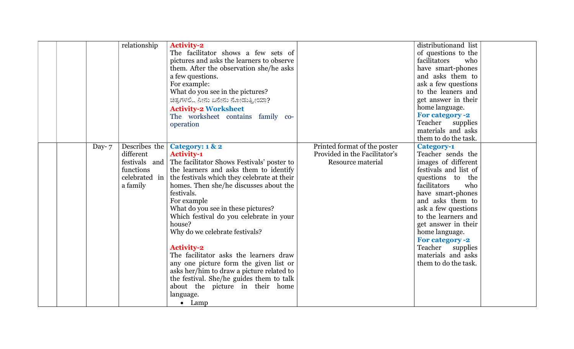| relationship                                                                                      | <b>Activity-2</b><br>The facilitator shows a few sets of<br>pictures and asks the learners to observe<br>them. After the observation she/he asks<br>a few questions.<br>For example:<br>What do you see in the pictures?<br>ಚಿತ್ರಗಳಲ್ಲಿ ನೀನು ಏನೇನು ನೋಡುತ್ತೀಯಾ?<br><b>Activity-2 Worksheet</b><br>The worksheet contains family co-<br>operation                                                                                                                                                                                                                                                                                                     |                                                                                    | distribution and list<br>of questions to the<br>facilitators<br>who<br>have smart-phones<br>and asks them to<br>ask a few questions<br>to the leaners and<br>get answer in their<br>home language.<br><b>For category -2</b><br>Teacher supplies<br>materials and asks<br>them to do the task.                                                                |
|---------------------------------------------------------------------------------------------------|-----------------------------------------------------------------------------------------------------------------------------------------------------------------------------------------------------------------------------------------------------------------------------------------------------------------------------------------------------------------------------------------------------------------------------------------------------------------------------------------------------------------------------------------------------------------------------------------------------------------------------------------------------|------------------------------------------------------------------------------------|---------------------------------------------------------------------------------------------------------------------------------------------------------------------------------------------------------------------------------------------------------------------------------------------------------------------------------------------------------------|
| Describes the<br>Day- $7$<br>different<br>festivals and<br>functions<br>celebrated in<br>a family | Category: 1 & 2<br><b>Activity-1</b><br>The facilitator Shows Festivals' poster to<br>the learners and asks them to identify<br>the festivals which they celebrate at their<br>homes. Then she/he discusses about the<br>festivals.<br>For example<br>What do you see in these pictures?<br>Which festival do you celebrate in your<br>house?<br>Why do we celebrate festivals?<br><b>Activity-2</b><br>The facilitator asks the learners draw<br>any one picture form the given list or<br>asks her/him to draw a picture related to<br>the festival. She/he guides them to talk<br>about the picture in their home<br>language.<br>$\bullet$ Lamp | Printed format of the poster<br>Provided in the Facilitator's<br>Resource material | <b>Category-1</b><br>Teacher sends the<br>images of different<br>festivals and list of<br>questions to the<br>facilitators<br>who<br>have smart-phones<br>and asks them to<br>ask a few questions<br>to the learners and<br>get answer in their<br>home language.<br><b>For category -2</b><br>Teacher supplies<br>materials and asks<br>them to do the task. |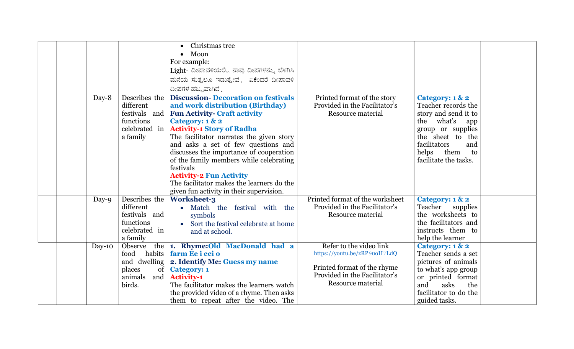|          |                                                                                                    | Christmas tree<br>Moon<br>For example:<br>Light- ದೀಪಾವಳಿಯಲ್ಲಿ ನಾವು ದೀಪಗಳನ್ನು ಬೆಳಗಿಸಿ<br>ಮನೆಯ ಸುತ್ತಲೂ ಇಡುತ್ತೇವೆ. ಏಕೆಂದರೆ ದೀಪಾವಳಿ<br>ದೀಪಗಳ ಹಬ್ಬವಾಗಿದೆ.                                                                                                                                                                                                                                                                                                                                         |                                                                                                                                              |                                                                                                                                                                                                                       |  |
|----------|----------------------------------------------------------------------------------------------------|----------------------------------------------------------------------------------------------------------------------------------------------------------------------------------------------------------------------------------------------------------------------------------------------------------------------------------------------------------------------------------------------------------------------------------------------------------------------------------------------|----------------------------------------------------------------------------------------------------------------------------------------------|-----------------------------------------------------------------------------------------------------------------------------------------------------------------------------------------------------------------------|--|
| Day-8    | Describes the<br>different<br>festivals and<br>functions<br>celebrated in<br>a family              | <b>Discussion-Decoration on festivals</b><br>and work distribution (Birthday)<br><b>Fun Activity- Craft activity</b><br>Category: 1 & 2<br><b>Activity-1 Story of Radha</b><br>The facilitator narrates the given story<br>and asks a set of few questions and<br>discusses the importance of cooperation<br>of the family members while celebrating<br>festivals<br><b>Activity-2 Fun Activity</b><br>The facilitator makes the learners do the<br>given fun activity in their supervision. | Printed format of the story<br>Provided in the Facilitator's<br>Resource material                                                            | Category: 1 & 2<br>Teacher records the<br>story and send it to<br>the what's<br>app<br>group or supplies<br>the sheet to the<br>facilitators<br>and<br>helps them<br>$\overline{\mathbf{t}}$<br>facilitate the tasks. |  |
| Day-9    | Describes the<br>different<br>festivals and<br>functions<br>celebrated in<br>a family              | <b>Worksheet-3</b><br>• Match the festival with the<br>symbols<br>Sort the festival celebrate at home<br>and at school.                                                                                                                                                                                                                                                                                                                                                                      | Printed format of the worksheet<br>Provided in the Facilitator's<br>Resource material                                                        | Category: 1 & 2<br>Teacher supplies<br>the worksheets to<br>the facilitators and<br>instructs them to<br>help the learner                                                                                             |  |
| $Day-10$ | Observe<br>habits<br>food<br>and dwelling<br>places<br>of <sub>1</sub><br>animals<br>and<br>birds. | the 1. Rhyme: Old MacDonald had a<br>farm Ee i eei o<br>2. Identify Me: Guess my name<br><b>Category: 1</b><br><b>Activity-1</b><br>The facilitator makes the learners watch<br>the provided video of a rhyme. Then asks<br>them to repeat after the video. The                                                                                                                                                                                                                              | Refer to the video link<br>https://youtu.be/zRP9uoH7LdQ<br>Printed format of the rhyme<br>Provided in the Facilitator's<br>Resource material | Category: 1 & 2<br>Teacher sends a set<br>pictures of animals<br>to what's app group<br>or printed format<br>asks<br>and<br>the<br>facilitator to do the<br>guided tasks.                                             |  |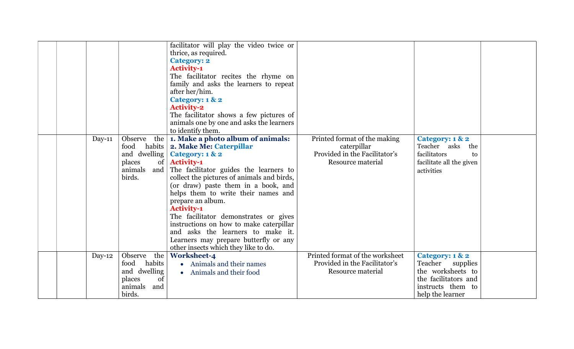|  |          |                                                                                                | facilitator will play the video twice or<br>thrice, as required.<br><b>Category: 2</b><br><b>Activity-1</b><br>The facilitator recites the rhyme on<br>family and asks the learners to repeat<br>after her/him.<br>Category: 1 & 2<br><b>Activity-2</b><br>The facilitator shows a few pictures of<br>animals one by one and asks the learners<br>to identify them.                                                                                                                                                            |                                                                                                   |                                                                                                                           |  |
|--|----------|------------------------------------------------------------------------------------------------|--------------------------------------------------------------------------------------------------------------------------------------------------------------------------------------------------------------------------------------------------------------------------------------------------------------------------------------------------------------------------------------------------------------------------------------------------------------------------------------------------------------------------------|---------------------------------------------------------------------------------------------------|---------------------------------------------------------------------------------------------------------------------------|--|
|  | $Day-11$ | Observe<br>the<br>food<br>habits  <br>and dwelling<br>of<br>places<br>and<br>animals<br>birds. | 1. Make a photo album of animals:<br>2. Make Me: Caterpillar<br>Category: 1 & 2<br><b>Activity-1</b><br>The facilitator guides the learners to<br>collect the pictures of animals and birds,<br>(or draw) paste them in a book, and<br>helps them to write their names and<br>prepare an album.<br><b>Activity-1</b><br>The facilitator demonstrates or gives<br>instructions on how to make caterpillar<br>and asks the learners to make it.<br>Learners may prepare butterfly or any<br>other insects which they like to do. | Printed format of the making<br>caterpillar<br>Provided in the Facilitator's<br>Resource material | Category: 1 & 2<br>Teacher asks<br>the<br>facilitators<br>to<br>facilitate all the given<br>activities                    |  |
|  | $Day-12$ | Observe<br>the<br>food<br>habits<br>and dwelling<br>of<br>places<br>animals<br>and<br>birds.   | <b>Worksheet-4</b><br>• Animals and their names<br>• Animals and their food                                                                                                                                                                                                                                                                                                                                                                                                                                                    | Printed format of the worksheet<br>Provided in the Facilitator's<br>Resource material             | Category: 1 & 2<br>Teacher supplies<br>the worksheets to<br>the facilitators and<br>instructs them to<br>help the learner |  |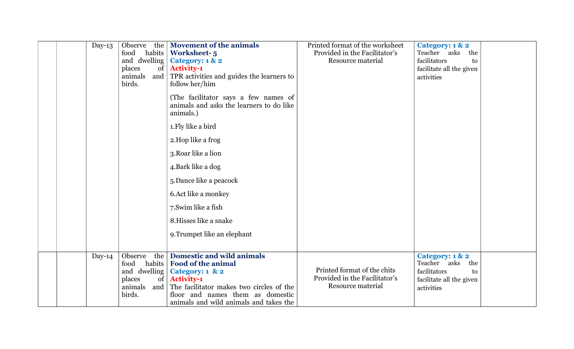| Day-13 | Observe<br>the<br>food<br>habits<br>and dwelling<br>of<br>places<br>animals<br>birds.              | <b>Movement of the animals</b><br><b>Worksheet-5</b><br>Category: 1 & 2<br><b>Activity-1</b><br>and TPR activities and guides the learners to<br>follow her/him<br>(The facilitator says a few names of<br>animals and asks the learners to do like<br>animals.)<br>1. Fly like a bird<br>2. Hop like a frog<br>3. Roar like a lion<br>4. Bark like a dog<br>5. Dance like a peacock<br>6. Act like a monkey | Printed format of the worksheet<br>Provided in the Facilitator's<br>Resource material | Category: 1 & 2<br>Teacher asks<br>the<br>facilitators<br>to<br>facilitate all the given<br>activities |
|--------|----------------------------------------------------------------------------------------------------|--------------------------------------------------------------------------------------------------------------------------------------------------------------------------------------------------------------------------------------------------------------------------------------------------------------------------------------------------------------------------------------------------------------|---------------------------------------------------------------------------------------|--------------------------------------------------------------------------------------------------------|
|        |                                                                                                    | 7. Swim like a fish<br>8. Hisses like a snake<br>9. Trumpet like an elephant                                                                                                                                                                                                                                                                                                                                 |                                                                                       |                                                                                                        |
| Day-14 | the<br>Observe<br>food<br>habits<br>and dwelling<br>$\sigma$<br>places<br>animals<br>and<br>birds. | <b>Domestic and wild animals</b><br><b>Food of the animal</b><br>Category: 1 & 2<br><b>Activity-1</b><br>The facilitator makes two circles of the<br>floor and names them as domestic<br>animals and wild animals and takes the                                                                                                                                                                              | Printed format of the chits<br>Provided in the Facilitator's<br>Resource material     | Category: 1 & 2<br>Teacher asks<br>the<br>facilitators<br>to<br>facilitate all the given<br>activities |